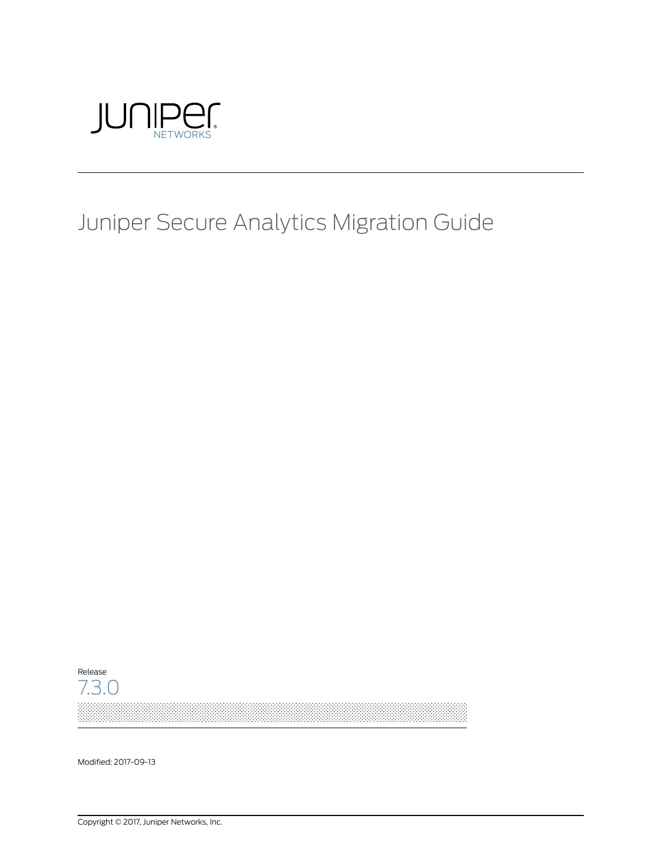

# Juniper Secure Analytics Migration Guide



Modified: 2017-09-13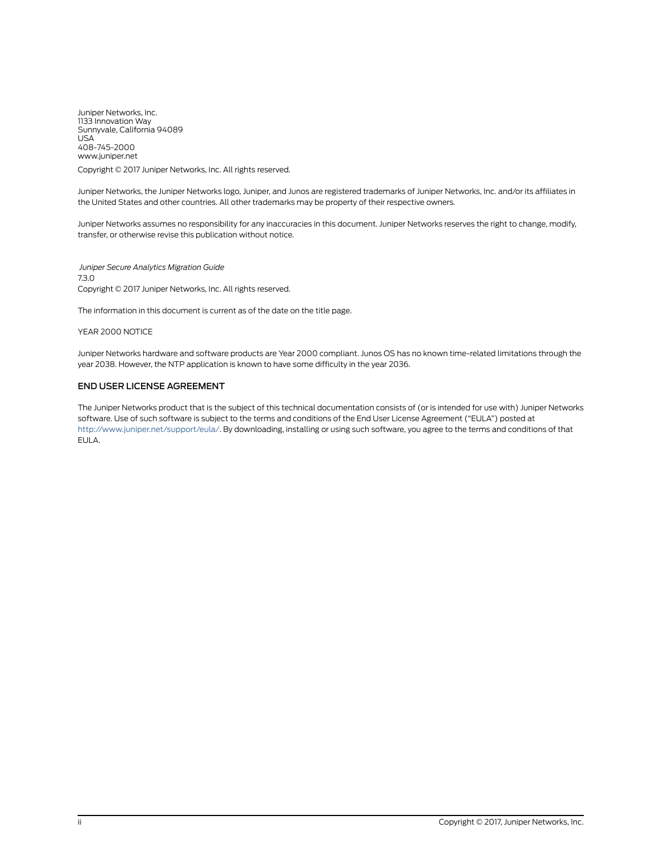Juniper Networks, Inc. 1133 Innovation Way Sunnyvale, California 94089 USA 408-745-2000 www.juniper.net

Copyright © 2017 Juniper Networks, Inc. All rights reserved.

Juniper Networks, the Juniper Networks logo, Juniper, and Junos are registered trademarks of Juniper Networks, Inc. and/or its affiliates in the United States and other countries. All other trademarks may be property of their respective owners.

Juniper Networks assumes no responsibility for any inaccuracies in this document. Juniper Networks reserves the right to change, modify, transfer, or otherwise revise this publication without notice.

*Juniper Secure Analytics Migration Guide* 7.3.0 Copyright © 2017 Juniper Networks, Inc. All rights reserved.

The information in this document is current as of the date on the title page.

YEAR 2000 NOTICE

Juniper Networks hardware and software products are Year 2000 compliant. Junos OS has no known time-related limitations through the year 2038. However, the NTP application is known to have some difficulty in the year 2036.

#### END USER LICENSE AGREEMENT

The Juniper Networks product that is the subject of this technical documentation consists of (or is intended for use with) Juniper Networks software. Use of such software is subject to the terms and conditions of the End User License Agreement ("EULA") posted at <http://www.juniper.net/support/eula/>. By downloading, installing or using such software, you agree to the terms and conditions of that EULA.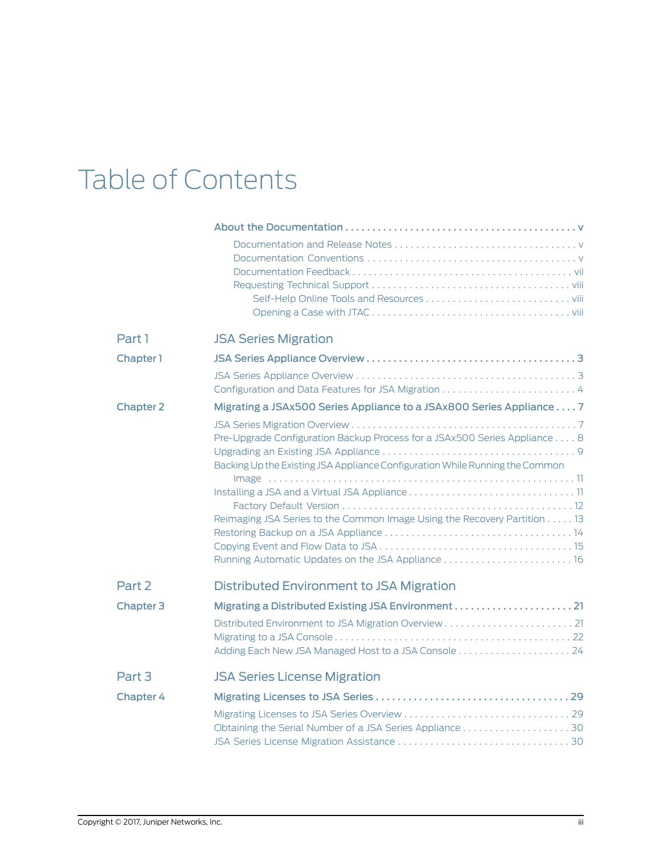# Table of Contents

| Part 1           | <b>JSA Series Migration</b>                                                                                                                                                                                                           |
|------------------|---------------------------------------------------------------------------------------------------------------------------------------------------------------------------------------------------------------------------------------|
| Chapter 1        |                                                                                                                                                                                                                                       |
|                  |                                                                                                                                                                                                                                       |
| <b>Chapter 2</b> | Migrating a JSAx500 Series Appliance to a JSAx800 Series Appliance 7                                                                                                                                                                  |
|                  | Pre-Upgrade Configuration Backup Process for a JSAx500 Series Appliance 8<br>Backing Up the Existing JSA Appliance Configuration While Running the Common<br>Reimaging JSA Series to the Common Image Using the Recovery Partition 13 |
| Part 2           | Distributed Environment to JSA Migration                                                                                                                                                                                              |
| <b>Chapter 3</b> |                                                                                                                                                                                                                                       |
| Part 3           | <b>JSA Series License Migration</b>                                                                                                                                                                                                   |
| <b>Chapter 4</b> |                                                                                                                                                                                                                                       |
|                  |                                                                                                                                                                                                                                       |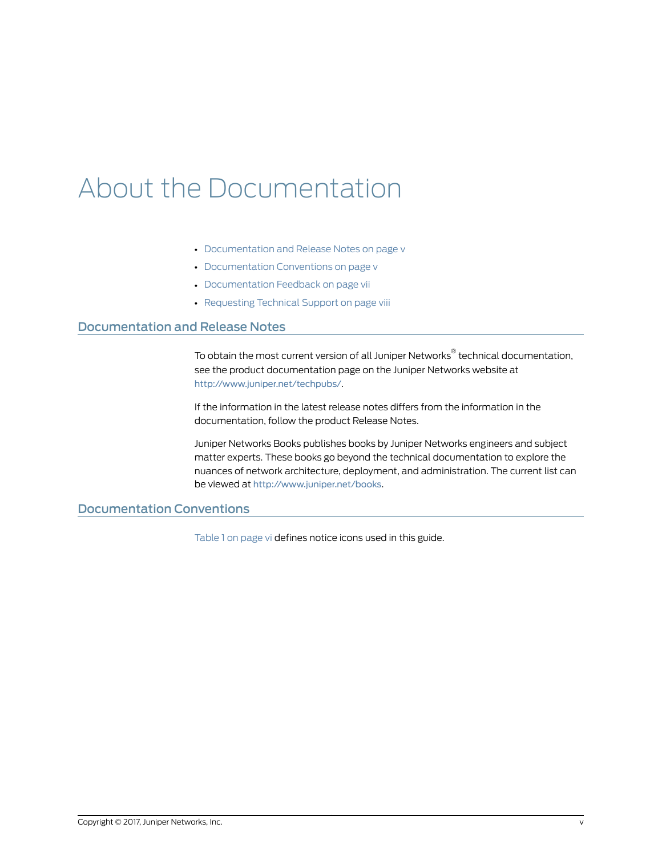# <span id="page-4-0"></span>About the Documentation

- [Documentation](#page-4-1) and Release Notes on [page](#page-4-1) v
- [Documentation](#page-4-2) Conventions on [page](#page-4-2) v
- [Documentation](#page-6-0) Feedback on [page](#page-6-0) vii
- [Requesting](#page-7-0) Technical Support on [page](#page-7-0) viii

### <span id="page-4-1"></span>Documentation and Release Notes

To obtain the most current version of all Juniper Networks ® technical documentation, see the product documentation page on the Juniper Networks website at <http://www.juniper.net/techpubs/>.

If the information in the latest release notes differs from the information in the documentation, follow the product Release Notes.

Juniper Networks Books publishes books by Juniper Networks engineers and subject matter experts. These books go beyond the technical documentation to explore the nuances of network architecture, deployment, and administration. The current list can be viewed at <http://www.juniper.net/books>.

# <span id="page-4-2"></span>Documentation Conventions

[Table](#page-5-0) 1 on page vi defines notice icons used in this guide.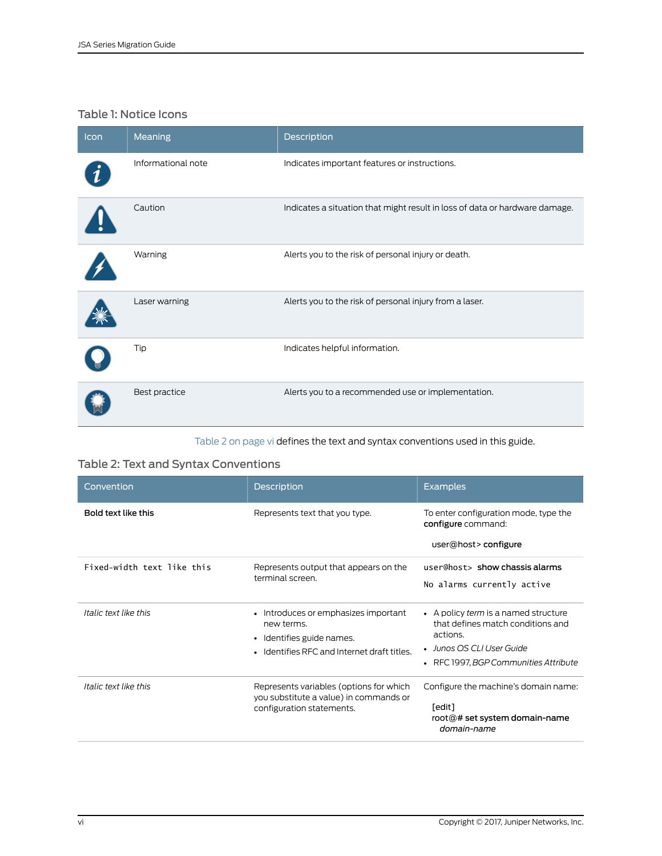# <span id="page-5-0"></span>Table 1: Notice Icons

| Icon | Meaning            | Description                                                                 |
|------|--------------------|-----------------------------------------------------------------------------|
|      | Informational note | Indicates important features or instructions.                               |
|      | Caution            | Indicates a situation that might result in loss of data or hardware damage. |
|      | Warning            | Alerts you to the risk of personal injury or death.                         |
|      | Laser warning      | Alerts you to the risk of personal injury from a laser.                     |
|      | Tip                | Indicates helpful information.                                              |
|      | Best practice      | Alerts you to a recommended use or implementation.                          |

<span id="page-5-1"></span>[Table](#page-5-1) 2 on page vi defines the text and syntax conventions used in this guide.

# Table 2: Text and Syntax Conventions

| Convention                 | <b>Description</b>                                                                                                                                 | <b>Examples</b>                                                                                                                                                |
|----------------------------|----------------------------------------------------------------------------------------------------------------------------------------------------|----------------------------------------------------------------------------------------------------------------------------------------------------------------|
| Bold text like this        | Represents text that you type.                                                                                                                     | To enter configuration mode, type the<br>configure command:<br>user@host>configure                                                                             |
| Fixed-width text like this | Represents output that appears on the<br>terminal screen.                                                                                          | user@host> show chassis alarms<br>No alarms currently active                                                                                                   |
| Italic text like this      | Introduces or emphasizes important<br>$\bullet$<br>new terms.<br>Identifies guide names.<br>$\bullet$<br>Identifies RFC and Internet draft titles. | • A policy term is a named structure<br>that defines match conditions and<br>actions.<br>• Junos OS CLI User Guide<br>RFC 1997, BGP Communities Attribute<br>٠ |
| Italic text like this      | Represents variables (options for which<br>you substitute a value) in commands or<br>configuration statements.                                     | Configure the machine's domain name:<br>[edit]<br>root@# set system domain-name<br>domain-name                                                                 |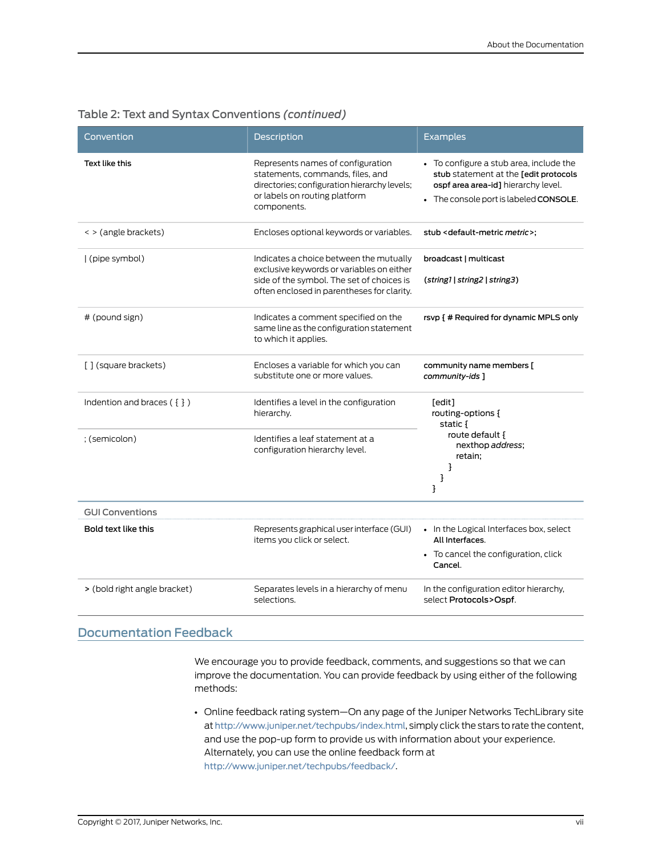| Convention                   | Description                                                                                                                                                                     | <b>Examples</b>                                                                                                                                                   |
|------------------------------|---------------------------------------------------------------------------------------------------------------------------------------------------------------------------------|-------------------------------------------------------------------------------------------------------------------------------------------------------------------|
| Text like this               | Represents names of configuration<br>statements, commands, files, and<br>directories; configuration hierarchy levels;<br>or labels on routing platform<br>components.           | • To configure a stub area, include the<br>stub statement at the [edit protocols<br>ospf area area-id] hierarchy level.<br>• The console port is labeled CONSOLE. |
| < > (angle brackets)         | Encloses optional keywords or variables.                                                                                                                                        | stub <default-metric metric="">;</default-metric>                                                                                                                 |
| (pipe symbol)                | Indicates a choice between the mutually<br>exclusive keywords or variables on either<br>side of the symbol. The set of choices is<br>often enclosed in parentheses for clarity. | broadcast   multicast<br>(string1   string2   string3)                                                                                                            |
| # (pound sign)               | Indicates a comment specified on the<br>same line as the configuration statement<br>to which it applies.                                                                        | rsvp { # Required for dynamic MPLS only                                                                                                                           |
| [] (square brackets)         | Encloses a variable for which you can<br>substitute one or more values.                                                                                                         | community name members [<br>community-ids ]                                                                                                                       |
| Indention and braces $(3)$   | Identifies a level in the configuration<br>hierarchy.                                                                                                                           | [edit]<br>routing-options {<br>static {                                                                                                                           |
| ; (semicolon)                | Identifies a leaf statement at a<br>configuration hierarchy level.                                                                                                              | route default {<br>nexthop address;<br>retain;<br>}<br>}<br>3                                                                                                     |
| <b>GUI Conventions</b>       |                                                                                                                                                                                 |                                                                                                                                                                   |
| Bold text like this          | Represents graphical user interface (GUI)<br>items you click or select.                                                                                                         | • In the Logical Interfaces box, select<br>All Interfaces.<br>• To cancel the configuration, click<br>Cancel.                                                     |
| > (bold right angle bracket) | Separates levels in a hierarchy of menu<br>selections.                                                                                                                          | In the configuration editor hierarchy,<br>select Protocols>Ospf.                                                                                                  |

### Table 2: Text and Syntax Conventions *(continued)*

# <span id="page-6-0"></span>Documentation Feedback

We encourage you to provide feedback, comments, and suggestions so that we can improve the documentation. You can provide feedback by using either of the following methods:

• Online feedback rating system—On any page of the Juniper Networks TechLibrary site at <http://www.juniper.net/techpubs/index.html>, simply click the stars to rate the content, and use the pop-up form to provide us with information about your experience. Alternately, you can use the online feedback form at <http://www.juniper.net/techpubs/feedback/>.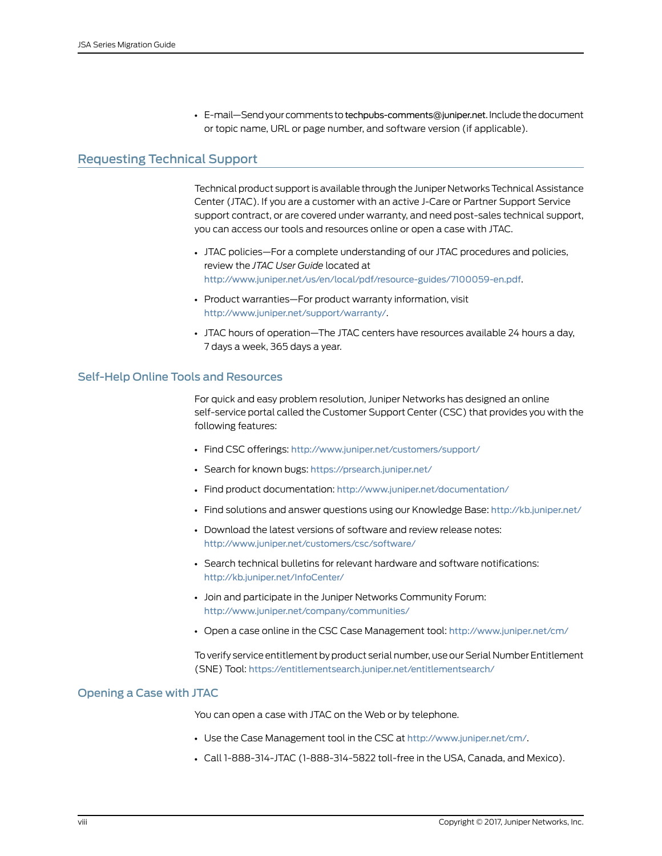• E-mail—Send your comments to [techpubs-comments@juniper.net](mailto:techpubs-comments@juniper.net?subject=). Include the document or topic name, URL or page number, and software version (if applicable).

## <span id="page-7-0"></span>Requesting Technical Support

Technical product support is available through the Juniper NetworksTechnical Assistance Center (JTAC). If you are a customer with an active J-Care or Partner Support Service support contract, or are covered under warranty, and need post-sales technical support, you can access our tools and resources online or open a case with JTAC.

- JTAC policies—For a complete understanding of our JTAC procedures and policies, review the *JTAC User Guide* located at <http://www.juniper.net/us/en/local/pdf/resource-guides/7100059-en.pdf>.
- Product warranties—For product warranty information, visit <http://www.juniper.net/support/warranty/>.
- JTAC hours of operation—The JTAC centers have resources available 24 hours a day, 7 days a week, 365 days a year.

#### <span id="page-7-1"></span>Self-Help Online Tools and Resources

For quick and easy problem resolution, Juniper Networks has designed an online self-service portal called the Customer Support Center (CSC) that provides you with the following features:

- Find CSC offerings: <http://www.juniper.net/customers/support/>
- Search for known bugs: <https://prsearch.juniper.net/>
- Find product documentation: <http://www.juniper.net/documentation/>
- Find solutions and answer questions using our Knowledge Base: <http://kb.juniper.net/>
- Download the latest versions of software and review release notes: <http://www.juniper.net/customers/csc/software/>
- Search technical bulletins for relevant hardware and software notifications: <http://kb.juniper.net/InfoCenter/>
- Join and participate in the Juniper Networks Community Forum: <http://www.juniper.net/company/communities/>
- Open a case online in the CSC Case Management tool: <http://www.juniper.net/cm/>

To verify service entitlement by product serial number, use our Serial Number Entitlement (SNE) Tool: <https://entitlementsearch.juniper.net/entitlementsearch/>

#### <span id="page-7-2"></span>Opening a Case with JTAC

You can open a case with JTAC on the Web or by telephone.

- Use the Case Management tool in the CSC at <http://www.juniper.net/cm/>.
- Call 1-888-314-JTAC (1-888-314-5822 toll-free in the USA, Canada, and Mexico).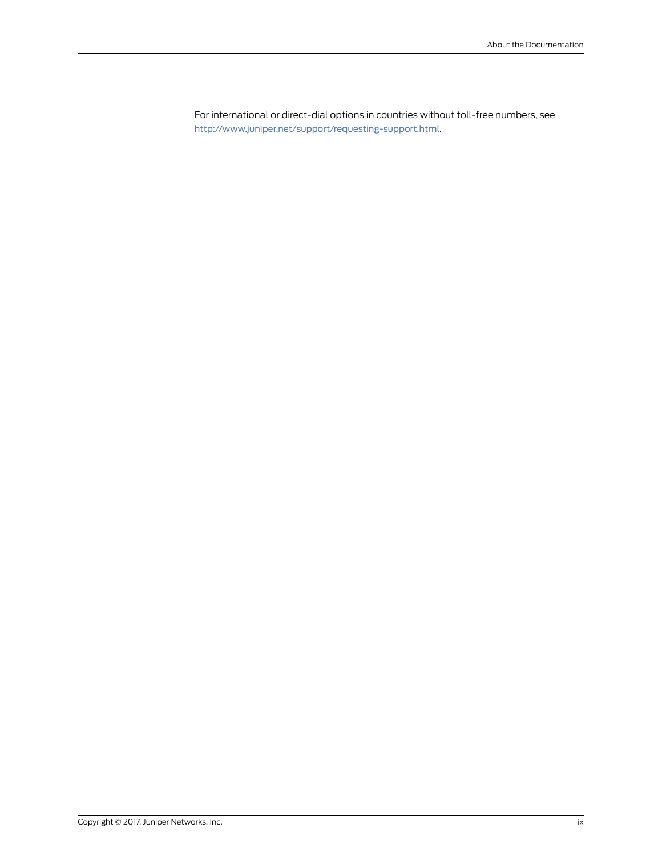For international or direct-dial options in countries without toll-free numbers, see <http://www.juniper.net/support/requesting-support.html>.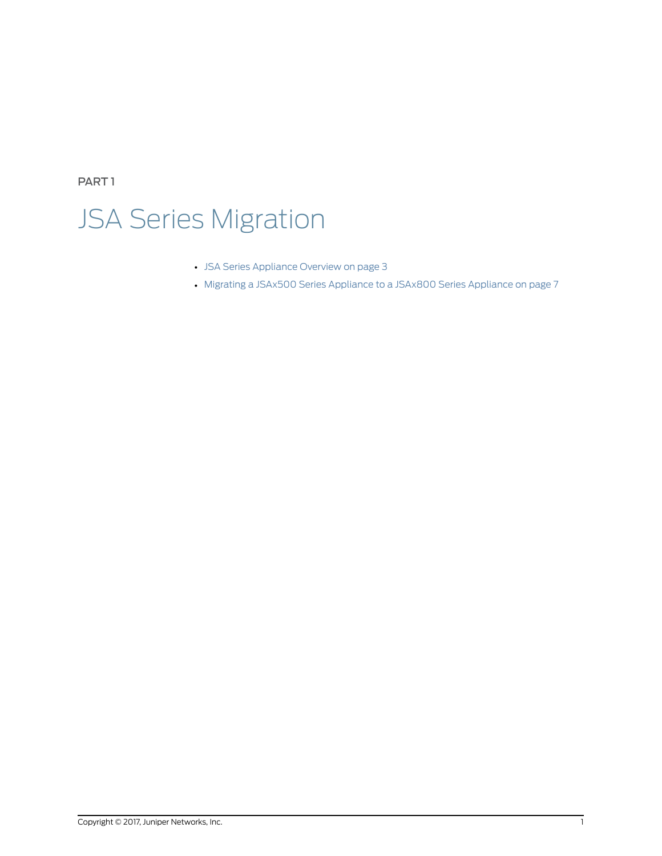<span id="page-10-0"></span>PART 1

# JSA Series Migration

- JSA Series [Appliance](#page-12-0) Overview on [page](#page-12-0) 3
- Migrating a JSAx500 Series [Appliance](#page-16-0) to a JSAx800 Series Appliance on [page](#page-16-0) 7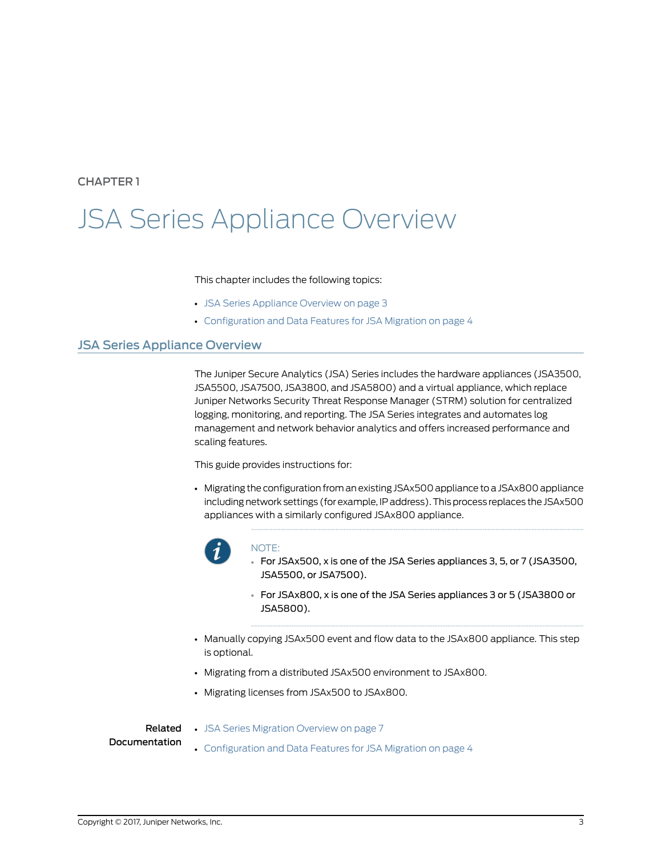### <span id="page-12-0"></span>CHAPTER 1

# JSA Series Appliance Overview

#### This chapter includes the following topics:

- JSA Series [Appliance](#page-12-1) Overview on [page](#page-12-1) 3
- [Configuration](#page-13-0) and Data Features for JSA Migration on [page](#page-13-0) 4

### <span id="page-12-1"></span>JSA Series Appliance Overview

The Juniper Secure Analytics (JSA) Series includes the hardware appliances (JSA3500, JSA5500, JSA7500, JSA3800, and JSA5800) and a virtual appliance, which replace Juniper Networks Security Threat Response Manager (STRM) solution for centralized logging, monitoring, and reporting. The JSA Series integrates and automates log management and network behavior analytics and offers increased performance and scaling features.

This guide provides instructions for:

• Migrating the configuration froman existing JSAx500 appliance toa JSAx800 appliance including network settings (for example, IP address). This process replaces the JSAx500 appliances with a similarly configured JSAx800 appliance.



#### NOTE:

- For JSAx500, x is one of the JSA Series appliances 3, 5, or 7 (JSA3500, JSA5500, or JSA7500).
- For JSAx800, x is one of the JSA Series appliances 3 or 5 (JSA3800 or JSA5800).
- Manually copying JSAx500 event and flow data to the JSAx800 appliance. This step is optional.
- Migrating from a distributed JSAx500 environment to JSAx800.
- Migrating licenses from JSAx500 to JSAx800.

• JSA Series [Migration](#page-16-1) Overview on page 7

#### Related Documentation

- 
- [Configuration](#page-13-0) and Data Features for JSA Migration on page 4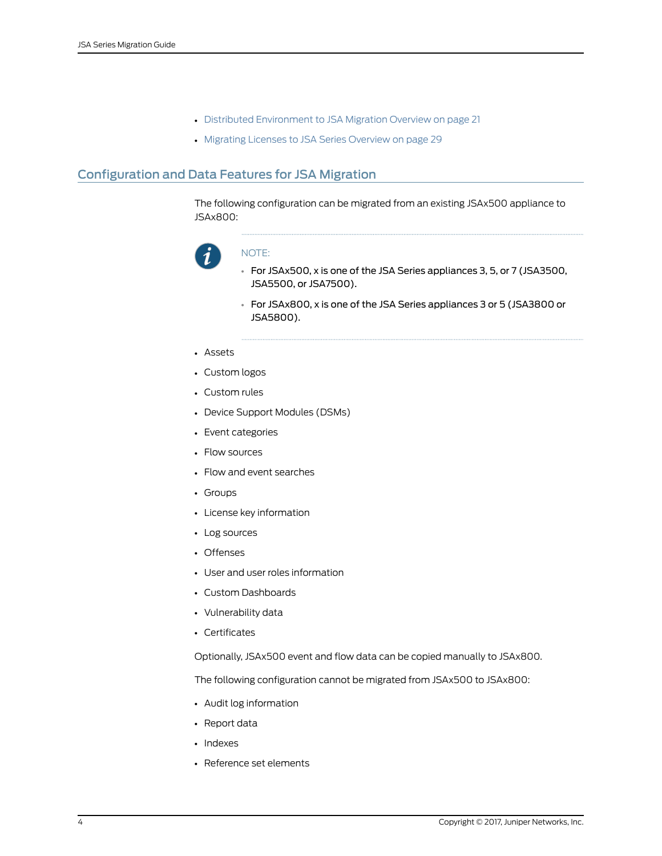- Distributed [Environment](#page-30-1) to JSA Migration Overview on page 21
- Migrating Licenses to JSA Series [Overview](#page-38-1) on page 29

# <span id="page-13-0"></span>Configuration and Data Features for JSA Migration

The following configuration can be migrated from an existing JSAx500 appliance to JSAx800:



#### NOTE:

- For JSAx500, x is one of the JSA Series appliances 3, 5, or 7 (JSA3500, JSA5500, or JSA7500).
- For JSAx800, x is one of the JSA Series appliances 3 or 5 (JSA3800 or JSA5800).
- Assets
- Custom logos
- Custom rules
- Device Support Modules (DSMs)
- Event categories
- Flow sources
- Flow and event searches
- Groups
- License key information
- Log sources
- Offenses
- User and user roles information
- Custom Dashboards
- Vulnerability data
- Certificates

Optionally, JSAx500 event and flow data can be copied manually to JSAx800.

The following configuration cannot be migrated from JSAx500 to JSAx800:

- Audit log information
- Report data
- Indexes
- Reference set elements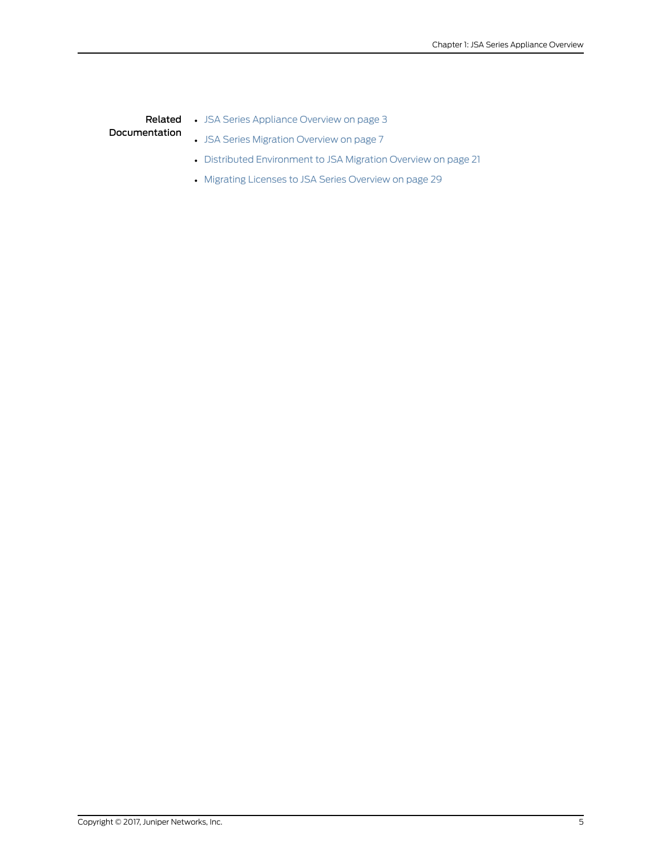# Related • JSA Series [Appliance](#page-12-1) Overview on page 3

# Documentation

- JSA Series [Migration](#page-16-1) Overview on page 7
- Distributed [Environment](#page-30-1) to JSA Migration Overview on page 21
- Migrating Licenses to JSA Series [Overview](#page-38-1) on page 29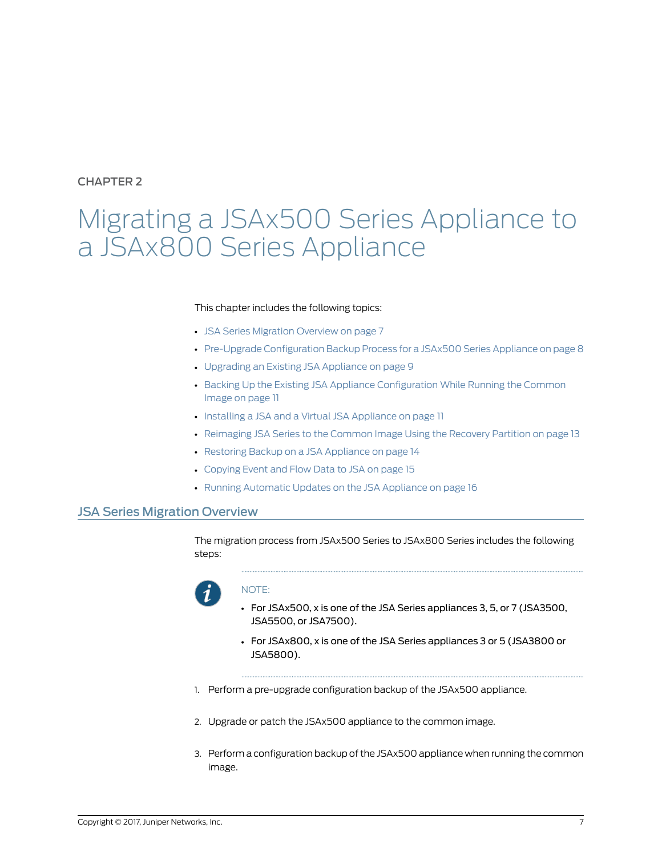# <span id="page-16-0"></span>CHAPTER 2

# Migrating a JSAx500 Series Appliance to a JSAx800 Series Appliance

#### This chapter includes the following topics:

- JSA Series [Migration](#page-16-1) Overview on [page](#page-16-1) 7
- Pre-Upgrade [Configuration](#page-17-0) Backup Process for a JSAx500 Series Appliance on [page](#page-17-0) 8
- [Upgrading](#page-18-0) an Existing JSA Appliance on [page](#page-18-0) 9
- Backing Up the Existing JSA Appliance [Configuration](#page-20-0) While Running the Common [Image](#page-20-0) on [page](#page-20-0) 11
- Installing a JSA and a Virtual JSA [Appliance](#page-20-1) on [page](#page-20-1) 11
- [Reimaging](#page-22-0) JSA Series to the Common Image Using the Recovery Partition on [page](#page-22-0) 13
- Restoring Backup on a JSA [Appliance](#page-23-0) on [page](#page-23-0) 14
- [Copying](#page-24-0) Event and Flow Data to JSA on [page](#page-24-0) 15
- Running [Automatic](#page-25-0) Updates on the JSA Appliance on [page](#page-25-0) 16

## <span id="page-16-1"></span>JSA Series Migration Overview

The migration process from JSAx500 Series to JSAx800 Series includes the following steps:



#### NOTE:

- For JSAx500, x is one of the JSA Series appliances 3, 5, or 7 (JSA3500, JSA5500, or JSA7500).
- For JSAx800, x is one of the JSA Series appliances 3 or 5 (JSA3800 or JSA5800).
- 1. Perform a pre-upgrade configuration backup of the JSAx500 appliance.
- 2. Upgrade or patch the JSAx500 appliance to the common image.
- 3. Perform a configuration backup of the JSAx500 appliance when running the common image.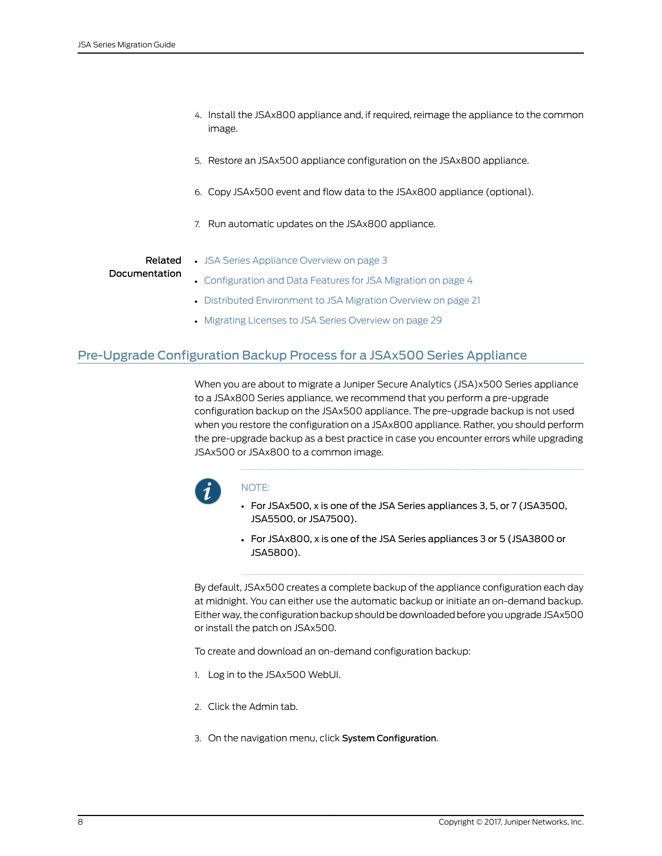- 4. Install the JSAx800 appliance and, if required, reimage the appliance to the common image.
- 5. Restore an JSAx500 appliance configuration on the JSAx800 appliance.
- 6. Copy JSAx500 event and flow data to the JSAx800 appliance (optional).
- 7. Run automatic updates on the JSAx800 appliance.

#### Related Documentation

- JSA Series [Appliance](#page-12-1) Overview on page 3
- [Configuration](#page-13-0) and Data Features for JSA Migration on page 4
- Distributed [Environment](#page-30-1) to JSA Migration Overview on page 21
- Migrating Licenses to JSA Series [Overview](#page-38-1) on page 29

# <span id="page-17-0"></span>Pre-Upgrade Configuration Backup Process for a JSAx500 Series Appliance

When you are about to migrate a Juniper Secure Analytics (JSA)x500 Series appliance to a JSAx800 Series appliance, we recommend that you perform a pre-upgrade configuration backup on the JSAx500 appliance. The pre-upgrade backup is not used when you restore the configuration on a JSAx800 appliance. Rather, you should perform the pre-upgrade backup as a best practice in case you encounter errors while upgrading JSAx500 or JSAx800 to a common image.



#### NOTE:

- For JSAx500, x is one of the JSA Series appliances 3, 5, or 7 (JSA3500, JSA5500, or JSA7500).
- For JSAx800, x is one of the JSA Series appliances 3 or 5 (JSA3800 or JSA5800).

By default, JSAx500 creates a complete backup of the appliance configuration each day at midnight. You can either use the automatic backup or initiate an on-demand backup. Either way, the configuration backup should be downloaded before you upgrade JSAx500 or install the patch on JSAx500.

To create and download an on-demand configuration backup:

- 1. Log in to the JSAx500 WebUI.
- 2. Click the Admin tab.
- 3. On the navigation menu, click System Configuration.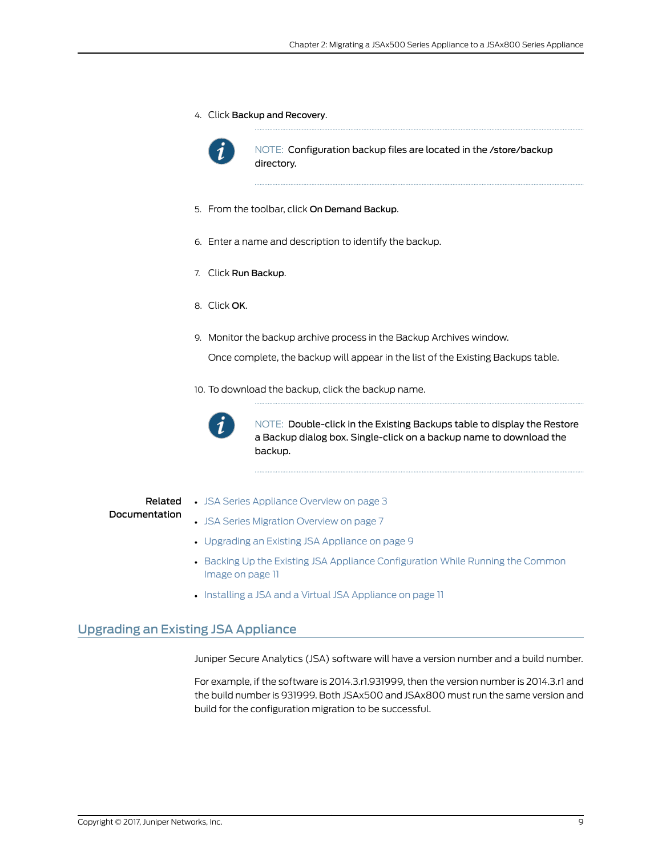4. Click Backup and Recovery.



NOTE: Configuration backup files are located in the /store/backup directory.

- 5. From the toolbar, click On Demand Backup.
- 6. Enter a name and description to identify the backup.
- 7. Click Run Backup.
- 8. Click OK.
- 9. Monitor the backup archive process in the Backup Archives window.

Once complete, the backup will appear in the list of the Existing Backups table.

10. To download the backup, click the backup name.



NOTE: Double-click in the Existing Backups table to display the Restore a Backup dialog box. Single-click on a backup name to download the backup.

#### Related Documentation

- JSA Series [Appliance](#page-12-1) Overview on page 3 • JSA Series [Migration](#page-16-1) Overview on page 7
- [Upgrading](#page-18-0) an Existing JSA Appliance on page 9
- Backing Up the Existing JSA Appliance [Configuration](#page-20-0) While Running the Common [Image](#page-20-0) on page 11
- Installing a JSA and a Virtual JSA [Appliance](#page-20-1) on page 11

# <span id="page-18-0"></span>Upgrading an Existing JSA Appliance

Juniper Secure Analytics (JSA) software will have a version number and a build number.

For example, if the software is 2014.3.r1.931999, then the version number is 2014.3.r1 and the build number is 931999. Both JSAx500 and JSAx800 must run the same version and build for the configuration migration to be successful.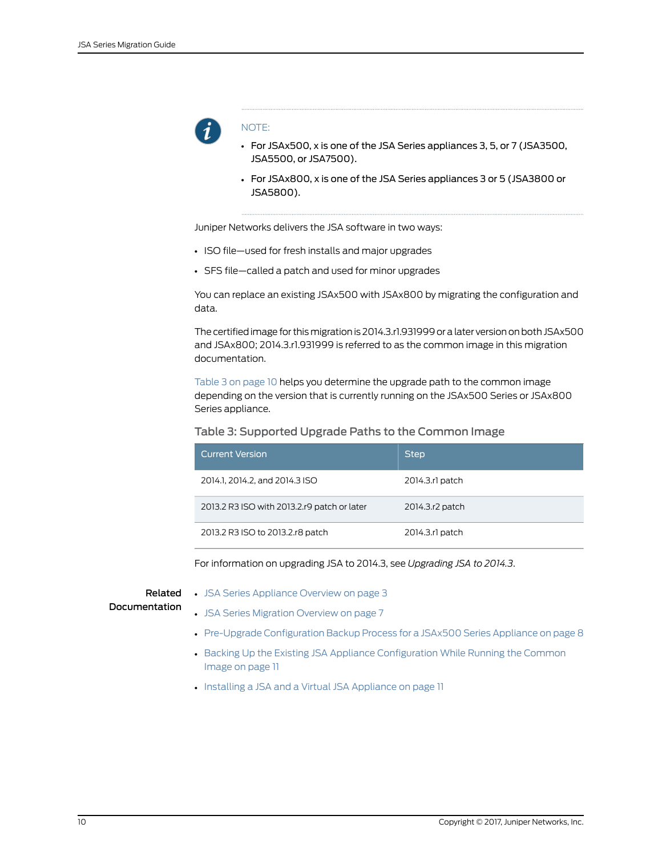

#### NOTE:

- For JSAx500, x is one of the JSA Series appliances 3, 5, or 7 (JSA3500, JSA5500, or JSA7500).
- For JSAx800, x is one of the JSA Series appliances 3 or 5 (JSA3800 or JSA5800).

Juniper Networks delivers the JSA software in two ways:

- ISO file—used for fresh installs and major upgrades
- SFS file—called a patch and used for minor upgrades

You can replace an existing JSAx500 with JSAx800 by migrating the configuration and data.

The certified image for this migration is 2014.3.r1.931999 or a later version on both JSAx500 and JSAx800; 2014.3.r1.931999 is referred to as the common image in this migration documentation.

<span id="page-19-0"></span>[Table](#page-19-0) 3 on page 10 helps you determine the upgrade path to the common image depending on the version that is currently running on the JSAx500 Series or JSAx800 Series appliance.

#### Table 3: Supported Upgrade Paths to the Common Image

| <u> Cur</u> rent Version                    | <b>Step</b>     |
|---------------------------------------------|-----------------|
| 2014.1, 2014.2, and 2014.3 ISO              | 2014.3.rl patch |
| 2013.2 R3 ISO with 2013.2.r9 patch or later | 2014.3.r2 patch |
| 2013.2 R3 ISO to 2013.2.r8 patch            | 2014.3.rl patch |

For information on upgrading JSA to 2014.3, see *Upgrading JSA to 2014.3*.

Related

• JSA Series [Appliance](#page-12-1) Overview on page 3

Documentation

- JSA Series [Migration](#page-16-1) Overview on page 7
- Pre-Upgrade [Configuration](#page-17-0) Backup Process for a JSAx500 Series Appliance on page 8
- Backing Up the Existing JSA Appliance [Configuration](#page-20-0) While Running the Common [Image](#page-20-0) on page 11
- Installing a JSA and a Virtual JSA [Appliance](#page-20-1) on page 11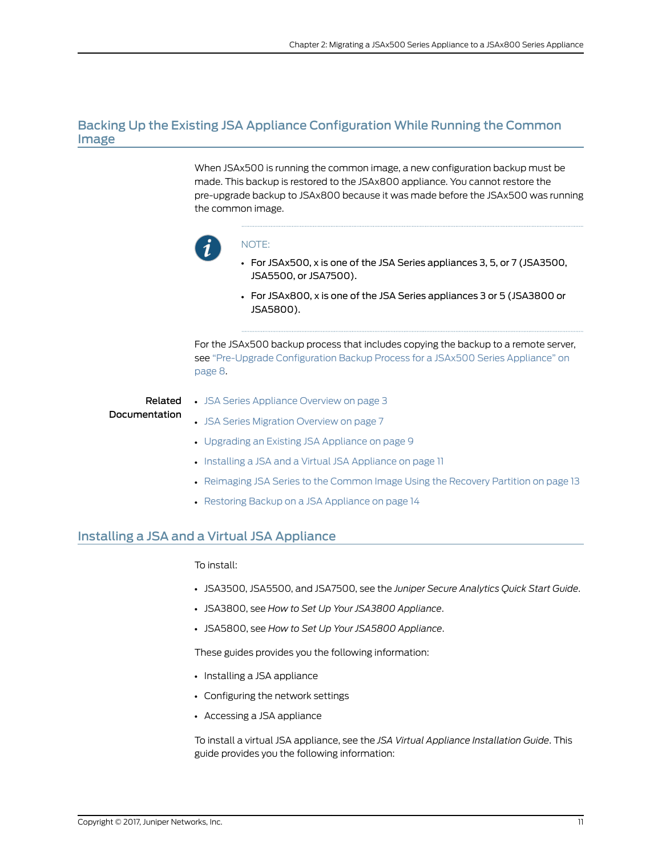# <span id="page-20-0"></span>Backing Up the Existing JSA Appliance Configuration While Running the Common Image

When JSAx500 is running the common image, a new configuration backup must be made. This backup is restored to the JSAx800 appliance. You cannot restore the pre-upgrade backup to JSAx800 because it was made before the JSAx500 was running the common image.



#### NOTE:

- For JSAx500, x is one of the JSA Series appliances 3, 5, or 7 (JSA3500, JSA5500, or JSA7500).
- For JSAx800, x is one of the JSA Series appliances 3 or 5 (JSA3800 or JSA5800).

For the JSAx500 backup process that includes copying the backup to a remote server, see ["Pre-Upgrade](#page-17-0) Configuration Backup Process for a JSAx500 Series Appliance" on [page](#page-17-0) 8.

Related Documentation

- JSA Series [Appliance](#page-12-1) Overview on page 3
- JSA Series [Migration](#page-16-1) Overview on page 7
	- [Upgrading](#page-18-0) an Existing JSA Appliance on page 9
	- Installing a JSA and a Virtual JSA [Appliance](#page-20-1) on page 11
	- [Reimaging](#page-22-0) JSA Series to the Common Image Using the Recovery Partition on page 13
	- Restoring Backup on a JSA [Appliance](#page-23-0) on page 14

### <span id="page-20-1"></span>Installing a JSA and a Virtual JSA Appliance

#### To install:

- JSA3500, JSA5500, and JSA7500, see the *Juniper Secure Analytics Quick Start Guide*.
- JSA3800, see *How to Set Up Your JSA3800 Appliance*.
- JSA5800, see *How to Set Up Your JSA5800 Appliance*.

These guides provides you the following information:

- Installing a JSA appliance
- Configuring the network settings
- Accessing a JSA appliance

To install a virtual JSA appliance, see the *JSA Virtual Appliance Installation Guide*. This guide provides you the following information: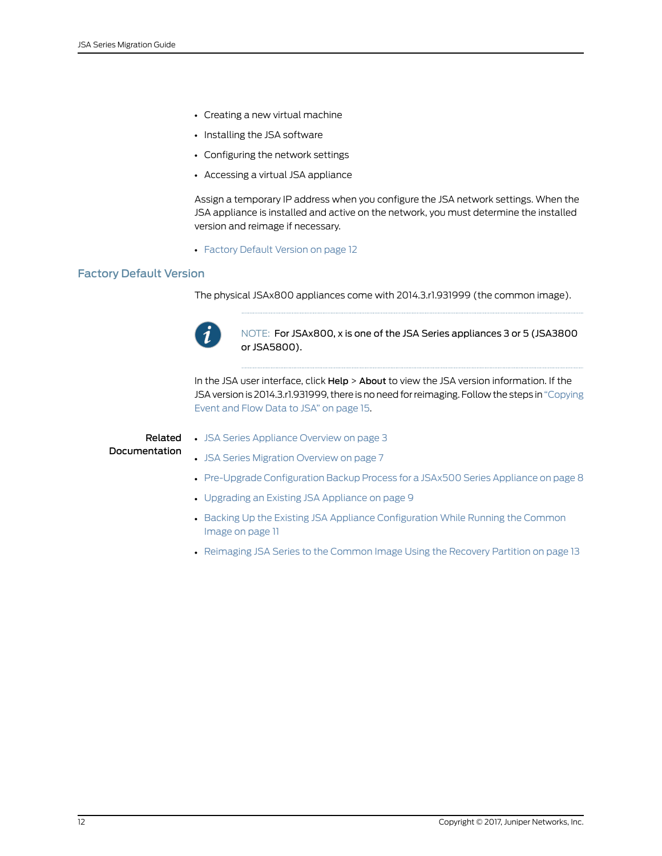- Creating a new virtual machine
- Installing the JSA software
- Configuring the network settings
- Accessing a virtual JSA appliance

Assign a temporary IP address when you configure the JSA network settings. When the JSA appliance is installed and active on the network, you must determine the installed version and reimage if necessary.

• [Factory](#page-21-0) Default Version on [page](#page-21-0) 12

#### <span id="page-21-0"></span>Factory Default Version

The physical JSAx800 appliances come with 2014.3.r1.931999 (the common image).



NOTE: For JSAx800, x is one of the JSA Series appliances 3 or 5 (JSA3800 or JSA5800).

In the JSA user interface, click Help > About to view the JSA version information. If the JSA version is 2014.3.r1.931999, there is no need forreimaging. Follow the steps in ["Copying](#page-24-0) [Event](#page-24-0) and Flow Data to JSA" on page 15.

### Related Documentation

- JSA Series [Appliance](#page-12-1) Overview on page 3 • JSA Series [Migration](#page-16-1) Overview on page 7
- Pre-Upgrade [Configuration](#page-17-0) Backup Process for a JSAx500 Series Appliance on page 8
- [Upgrading](#page-18-0) an Existing JSA Appliance on page 9
- Backing Up the Existing JSA Appliance [Configuration](#page-20-0) While Running the Common [Image](#page-20-0) on page 11
- [Reimaging](#page-22-0) JSA Series to the Common Image Using the Recovery Partition on page 13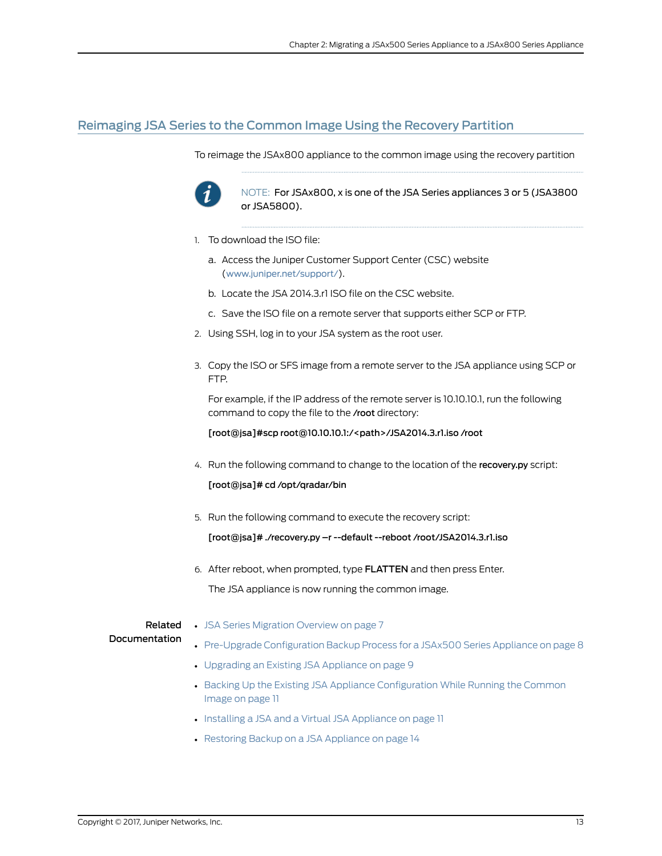## <span id="page-22-0"></span>Reimaging JSA Series to the Common Image Using the Recovery Partition

To reimage the JSAx800 appliance to the common image using the recovery partition



NOTE: For JSAx800, x is one of the JSA Series appliances 3 or 5 (JSA3800 or JSA5800).

- 1. To download the ISO file:
	- a. Access the Juniper Customer Support Center (CSC) website (<www.juniper.net/support/>).
	- b. Locate the JSA 2014.3.r1 ISO file on the CSC website.
	- c. Save the ISO file on a remote server that supports either SCP or FTP.
- 2. Using SSH, log in to your JSA system as the root user.
- 3. Copy the ISO or SFS image from a remote server to the JSA appliance using SCP or FTP.

For example, if the IP address of the remote server is 10.10.10.1, run the following command to copy the file to the /root directory:

[root@jsa]#scp root@10.10.10.1:/<path>/JSA2014.3.r1.iso /root

4. Run the following command to change to the location of the recovery.py script:

[root@jsa]# cd /opt/qradar/bin

5. Run the following command to execute the recovery script:

[root@jsa]# ./recovery.py –r --default --reboot /root/JSA2014.3.r1.iso

6. After reboot, when prompted, type FLATTEN and then press Enter. The JSA appliance is now running the common image.

# Documentation

- **Related •** JSA Series [Migration](#page-16-1) Overview on page 7
	- Pre-Upgrade [Configuration](#page-17-0) Backup Process for a JSAx500 Series Appliance on page 8
	- [Upgrading](#page-18-0) an Existing JSA Appliance on page 9
	- Backing Up the Existing JSA Appliance [Configuration](#page-20-0) While Running the Common [Image](#page-20-0) on page 11
	- Installing a JSA and a Virtual JSA [Appliance](#page-20-1) on page 11
	- Restoring Backup on a JSA [Appliance](#page-23-0) on page 14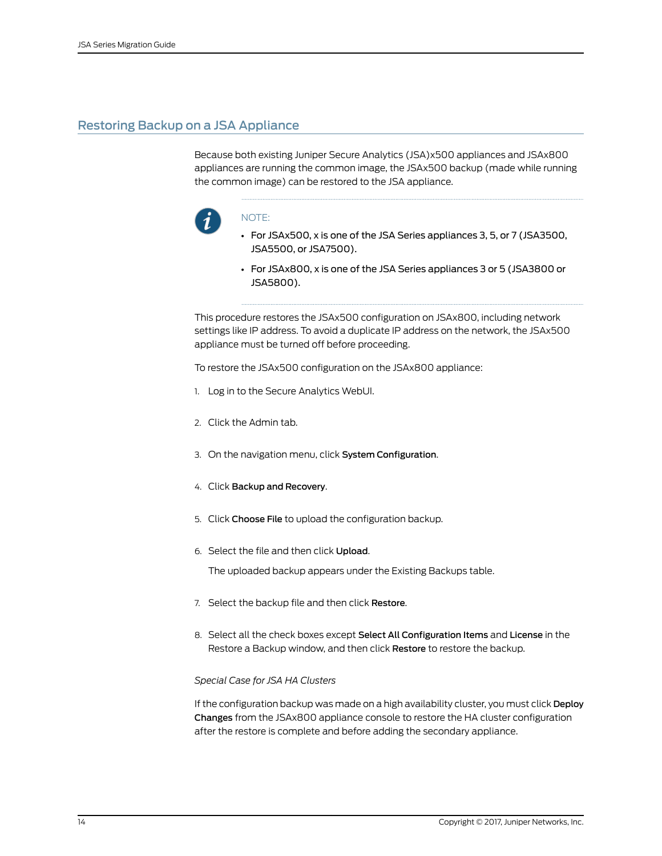# <span id="page-23-0"></span>Restoring Backup on a JSA Appliance

Because both existing Juniper Secure Analytics (JSA)x500 appliances and JSAx800 appliances are running the common image, the JSAx500 backup (made while running the common image) can be restored to the JSA appliance.



#### NOTE:

- For JSAx500, x is one of the JSA Series appliances 3, 5, or 7 (JSA3500, JSA5500, or JSA7500).
- For JSAx800, x is one of the JSA Series appliances 3 or 5 (JSA3800 or JSA5800).

This procedure restores the JSAx500 configuration on JSAx800, including network settings like IP address. To avoid a duplicate IP address on the network, the JSAx500 appliance must be turned off before proceeding.

To restore the JSAx500 configuration on the JSAx800 appliance:

- 1. Log in to the Secure Analytics WebUI.
- 2. Click the Admin tab.
- 3. On the navigation menu, click System Configuration.
- 4. Click Backup and Recovery.
- 5. Click Choose File to upload the configuration backup.
- 6. Select the file and then click Upload.

The uploaded backup appears under the Existing Backups table.

- 7. Select the backup file and then click Restore.
- 8. Select all the check boxes except Select All Configuration Items and License in the Restore a Backup window, and then click Restore to restore the backup.

#### *Special Case for JSA HA Clusters*

If the configuration backup was made on a high availability cluster, you must click Deploy Changes from the JSAx800 appliance console to restore the HA cluster configuration after the restore is complete and before adding the secondary appliance.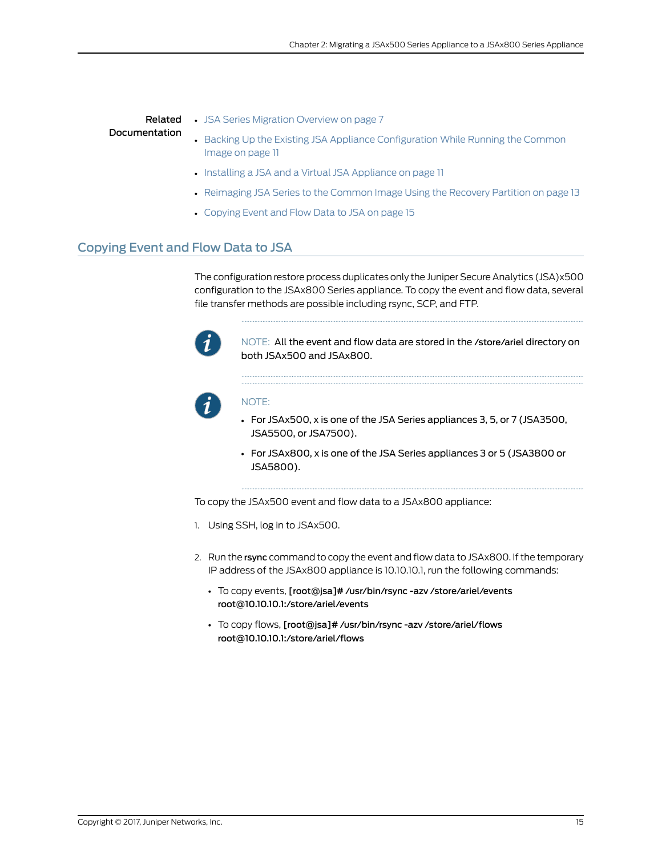|               | <b>Related</b> • JSA Series Migration Overview on page 7 |
|---------------|----------------------------------------------------------|
| Documentation | • Backing Up the Existing JSA Appliance C                |

- ppliance [Configuration](#page-20-0) While Running the Common [Image](#page-20-0) on page 11
- Installing a JSA and a Virtual JSA [Appliance](#page-20-1) on page 11
- [Reimaging](#page-22-0) JSA Series to the Common Image Using the Recovery Partition on page 13
- [Copying](#page-24-0) Event and Flow Data to JSA on page 15

# <span id="page-24-0"></span>Copying Event and Flow Data to JSA

The configuration restore process duplicates only the Juniper Secure Analytics (JSA)x500 configuration to the JSAx800 Series appliance. To copy the event and flow data, several file transfer methods are possible including rsync, SCP, and FTP.



NOTE: All the event and flow data are stored in the /store/ariel directory on both JSAx500 and JSAx800.



#### NOTE:

- For JSAx500, x is one of the JSA Series appliances 3, 5, or 7 (JSA3500, JSA5500, or JSA7500).
- For JSAx800, x is one of the JSA Series appliances 3 or 5 (JSA3800 or JSA5800).

To copy the JSAx500 event and flow data to a JSAx800 appliance:

- 1. Using SSH, log in to JSAx500.
- 2. Run the rsync command to copy the event and flow data to JSAx800. If the temporary IP address of the JSAx800 appliance is 10.10.10.1, run the following commands:
	- To copy events, [root@jsa]# /usr/bin/rsync -azv /store/ariel/events root@10.10.10.1:/store/ariel/events
	- To copy flows, [root@jsa]# /usr/bin/rsync -azv /store/ariel/flows root@10.10.10.1:/store/ariel/flows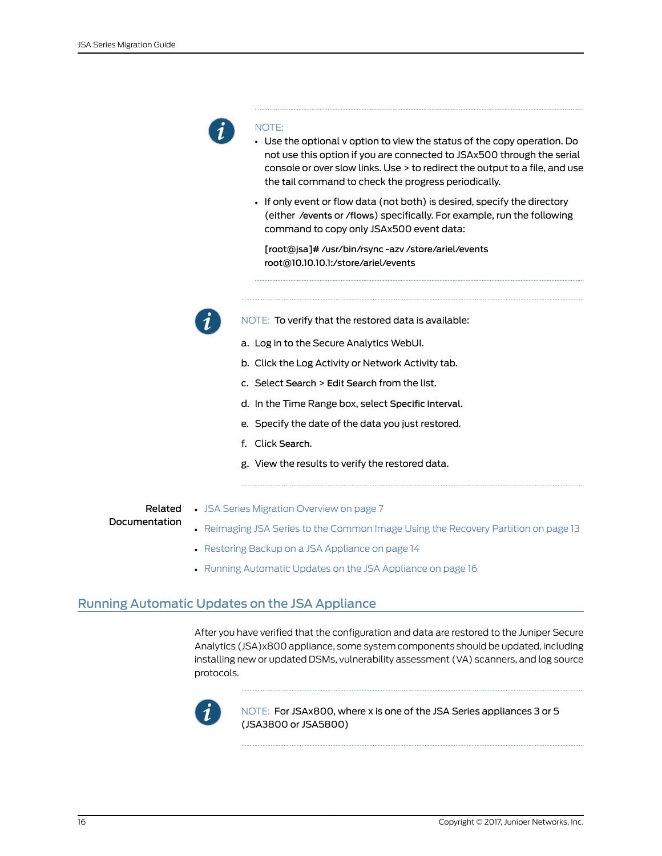

#### NOTE:

- Use the optional v option to view the status of the copy operation. Do not use this option if you are connected to JSAx500 through the serial console or over slow links. Use > to redirect the output to a file, and use the tail command to check the progress periodically.
- If only event or flow data (not both) is desired, specify the directory (either /events or /flows) specifically. For example, run the following command to copy only JSAx500 event data:

[root@jsa]# /usr/bin/rsync -azv /store/ariel/events root@10.10.10.1:/store/ariel/events



NOTE: To verify that the restored data is available:

- a. Log in to the Secure Analytics WebUI.
- b. Click the Log Activity or Network Activity tab.
- c. Select Search > Edit Search from the list.
- d. In the Time Range box, select Specific Interval.
- e. Specify the date of the data you just restored.
- f. Click Search.
- g. View the results to verify the restored data.
- <span id="page-25-0"></span>Documentation
- Related JSA Series [Migration](#page-16-1) Overview on page 7
	- [Reimaging](#page-22-0) JSA Series to the Common Image Using the Recovery Partition on page 13
	- Restoring Backup on a JSA [Appliance](#page-23-0) on page 14
	- Running [Automatic](#page-25-0) Updates on the JSA Appliance on page 16

# Running Automatic Updates on the JSA Appliance

After you have verified that the configuration and data are restored to the Juniper Secure Analytics (JSA)x800 appliance, some system components should be updated, including installing new or updated DSMs, vulnerability assessment (VA) scanners, and log source protocols.



NOTE: For JSAx800, where x is one of the JSA Series appliances 3 or 5 (JSA3800 or JSA5800)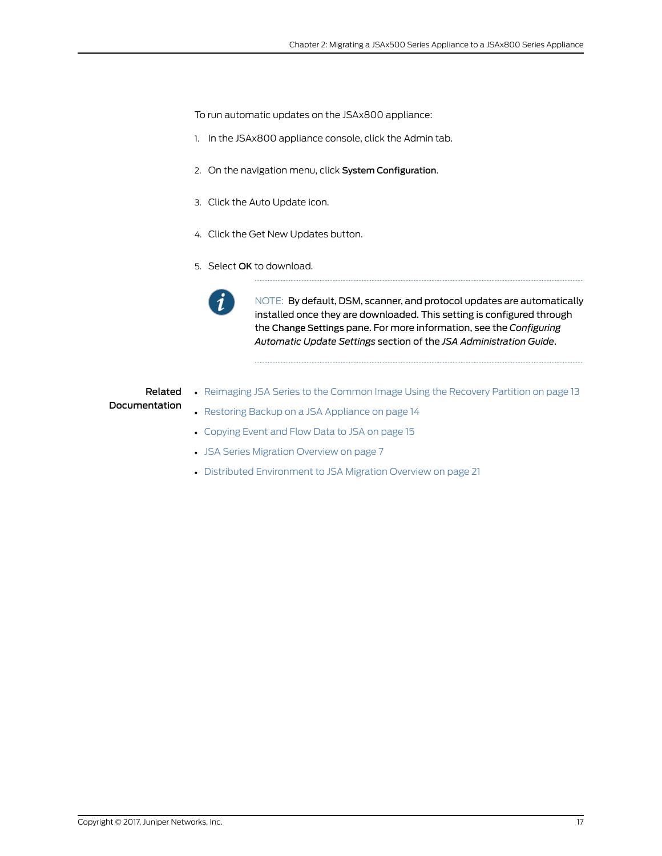To run automatic updates on the JSAx800 appliance:

- 1. In the JSAx800 appliance console, click the Admin tab.
- 2. On the navigation menu, click System Configuration.
- 3. Click the Auto Update icon.
- 4. Click the Get New Updates button.
- 5. Select OK to download.



NOTE: By default, DSM, scanner, and protocol updates are automatically installed once they are downloaded. This setting is configured through the Change Settings pane. For more information, see the *Configuring Automatic Update Settings* section of the *JSA Administration Guide*.

### Related Documentation

- [Reimaging](#page-22-0) JSA Series to the Common Image Using the Recovery Partition on page 13
- Restoring Backup on a JSA [Appliance](#page-23-0) on page 14
- [Copying](#page-24-0) Event and Flow Data to JSA on page 15
- JSA Series [Migration](#page-16-1) Overview on page 7
- Distributed [Environment](#page-30-1) to JSA Migration Overview on page 21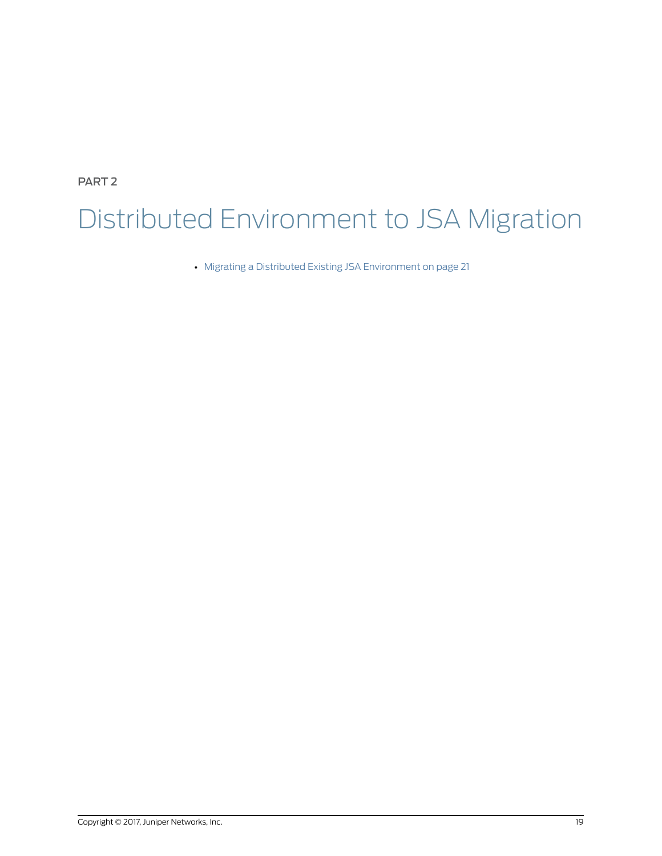<span id="page-28-0"></span>PART 2

# Distributed Environment to JSA Migration

• Migrating a Distributed Existing JSA [Environment](#page-30-0) on [page](#page-30-0) 21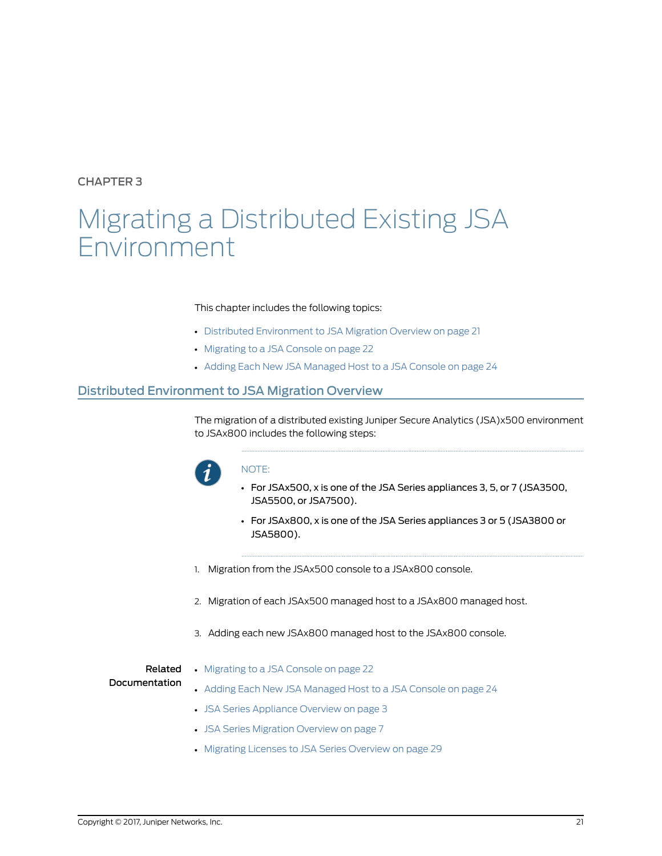<span id="page-30-0"></span>CHAPTER 3

# Migrating a Distributed Existing JSA Environment

#### This chapter includes the following topics:

- Distributed [Environment](#page-30-1) to JSA Migration Overview on [page](#page-30-1) 21
- [Migrating](#page-31-0) to a JSA Console on [page](#page-31-0) 22
- Adding Each New JSA [Managed](#page-33-0) Host to a JSA Console on [page](#page-33-0) 24

## <span id="page-30-1"></span>Distributed Environment to JSA Migration Overview

The migration of a distributed existing Juniper Secure Analytics (JSA)x500 environment to JSAx800 includes the following steps:



#### NOTE:

- For JSAx500, x is one of the JSA Series appliances 3, 5, or 7 (JSA3500, JSA5500, or JSA7500).
- For JSAx800, x is one of the JSA Series appliances 3 or 5 (JSA3800 or JSA5800).
- 1. Migration from the JSAx500 console to a JSAx800 console.
- 2. Migration of each JSAx500 managed host to a JSAx800 managed host.
- 3. Adding each new JSAx800 managed host to the JSAx800 console.

Related

• [Migrating](#page-31-0) to a JSA Console on page 22

#### Documentation

- Adding Each New JSA [Managed](#page-33-0) Host to a JSA Console on page 24
- JSA Series [Appliance](#page-12-1) Overview on page 3
- JSA Series [Migration](#page-16-1) Overview on page 7
- Migrating Licenses to JSA Series [Overview](#page-38-1) on page 29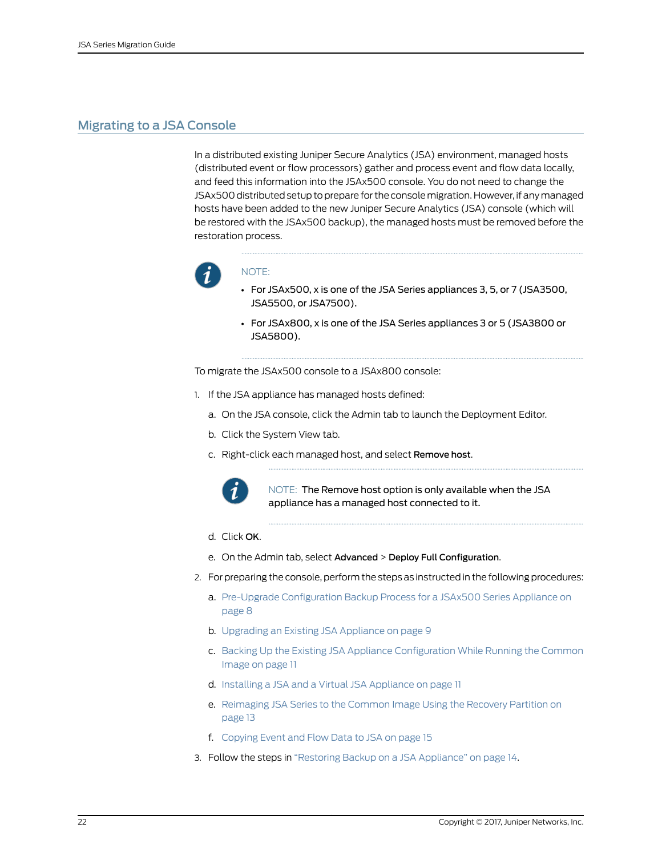# <span id="page-31-0"></span>Migrating to a JSA Console

In a distributed existing Juniper Secure Analytics (JSA) environment, managed hosts (distributed event or flow processors) gather and process event and flow data locally, and feed this information into the JSAx500 console. You do not need to change the JSAx500 distributed setup to prepare for the console migration. However, if any managed hosts have been added to the new Juniper Secure Analytics (JSA) console (which will be restored with the JSAx500 backup), the managed hosts must be removed before the restoration process.



#### NOTE:

- For JSAx500, x is one of the JSA Series appliances 3, 5, or 7 (JSA3500, JSA5500, or JSA7500).
- For JSAx800, x is one of the JSA Series appliances 3 or 5 (JSA3800 or JSA5800).

To migrate the JSAx500 console to a JSAx800 console:

- 1. If the JSA appliance has managed hosts defined:
	- a. On the JSA console, click the Admin tab to launch the Deployment Editor.
	- b. Click the System View tab.
	- c. Right-click each managed host, and select Remove host.



NOTE: The Remove host option is only available when the JSA appliance has a managed host connected to it.

- d. Click OK.
- e. On the Admin tab, select Advanced > Deploy Full Configuration.
- 2. For preparing the console, perform the steps as instructed in the following procedures:
	- a. Pre-Upgrade [Configuration](#page-17-0) Backup Process for a JSAx500 Series Appliance on [page](#page-17-0) 8
	- b. [Upgrading](#page-18-0) an Existing JSA Appliance on page 9
	- c. Backing Up the Existing JSA Appliance [Configuration](#page-20-0) While Running the Common [Image](#page-20-0) on page 11
	- d. Installing a JSA and a Virtual JSA [Appliance](#page-20-1) on page 11
	- e. [Reimaging](#page-22-0) JSA Series to the Common Image Using the Recovery Partition on [page](#page-22-0) 13
	- f. [Copying](#page-24-0) Event and Flow Data to JSA on page 15
- 3. Follow the steps in "Restoring Backup on a JSA [Appliance"](#page-23-0) on page 14.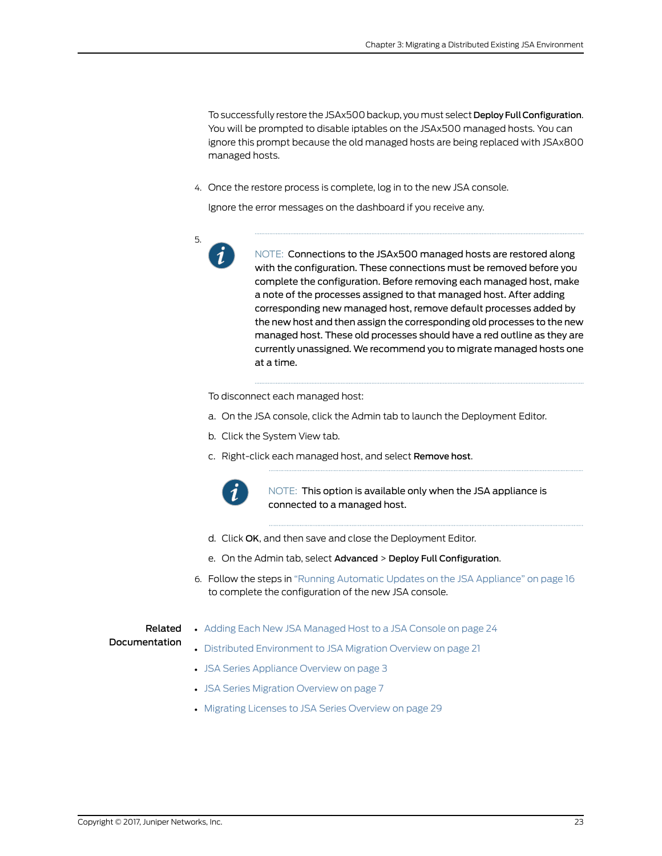To successfully restore the JSAx500 backup, you must select Deploy Full Configuration. You will be prompted to disable iptables on the JSAx500 managed hosts. You can ignore this prompt because the old managed hosts are being replaced with JSAx800 managed hosts.

4. Once the restore process is complete, log in to the new JSA console.

Ignore the error messages on the dashboard if you receive any.



NOTE: Connections to the JSAx500 managed hosts are restored along with the configuration. These connections must be removed before you complete the configuration. Before removing each managed host, make a note of the processes assigned to that managed host. After adding corresponding new managed host, remove default processes added by the new host and then assign the corresponding old processes to the new managed host. These old processes should have a red outline as they are currently unassigned. We recommend you to migrate managed hosts one at a time.

To disconnect each managed host:

- a. On the JSA console, click the Admin tab to launch the Deployment Editor.
- b. Click the System View tab.
- c. Right-click each managed host, and select Remove host.



NOTE: This option is available only when the JSA appliance is connected to a managed host.

- d. Click OK, and then save and close the Deployment Editor.
- e. On the Admin tab, select Advanced > Deploy Full Configuration.
- 6. Follow the steps in "Running Automatic Updates on the JSA [Appliance"](#page-25-0) on page 16 to complete the configuration of the new JSA console.

#### Related **Documentation**

- Adding Each New JSA [Managed](#page-33-0) Host to a JSA Console on page 24
- Distributed [Environment](#page-30-1) to JSA Migration Overview on page 21
- JSA Series [Appliance](#page-12-1) Overview on page 3
- JSA Series [Migration](#page-16-1) Overview on page 7
- Migrating Licenses to JSA Series [Overview](#page-38-1) on page 29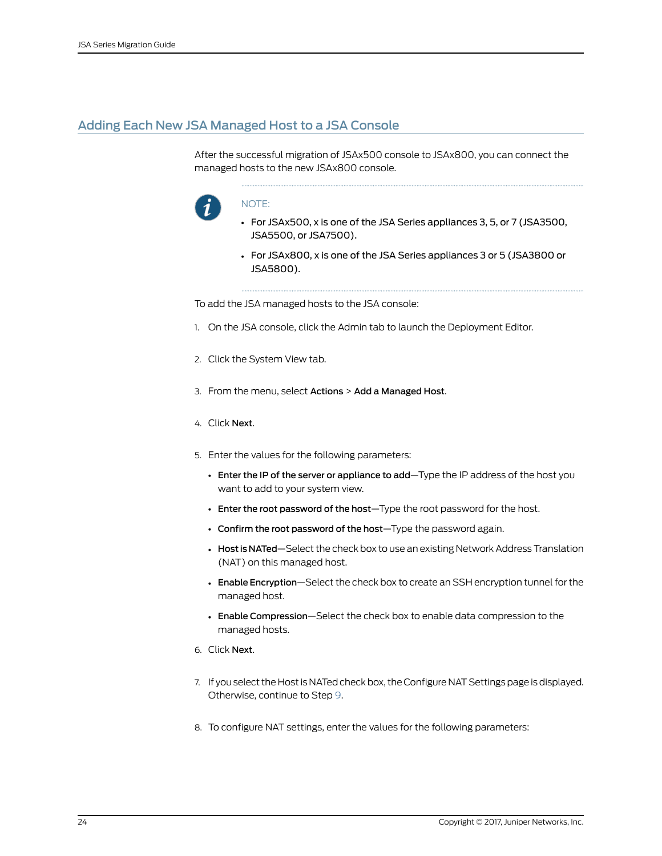# <span id="page-33-0"></span>Adding Each New JSA Managed Host to a JSA Console

After the successful migration of JSAx500 console to JSAx800, you can connect the managed hosts to the new JSAx800 console.



#### NOTE:

- For JSAx500, x is one of the JSA Series appliances 3, 5, or 7 (JSA3500, JSA5500, or JSA7500).
- For JSAx800, x is one of the JSA Series appliances 3 or 5 (JSA3800 or JSA5800).

To add the JSA managed hosts to the JSA console:

- 1. On the JSA console, click the Admin tab to launch the Deployment Editor.
- 2. Click the System View tab.
- 3. From the menu, select Actions > Add a Managed Host.
- 4. Click Next.
- 5. Enter the values for the following parameters:
	- Enter the IP of the server or appliance to add—Type the IP address of the host you want to add to your system view.
	- Enter the root password of the host—Type the root password for the host.
	- Confirm the root password of the host—Type the password again.
	- Host is NATed—Select the check box to use an existing Network Address Translation (NAT) on this managed host.
	- Enable Encryption—Select the check box to create an SSH encryption tunnel for the managed host.
	- Enable Compression—Select the check box to enable data compression to the managed hosts.
- 6. Click Next.
- 7. If you select the Host is NATed check box, the Configure NAT Settings page is displayed. Otherwise, continue to Step [9.](#page-34-0)
- 8. To configure NAT settings, enter the values for the following parameters: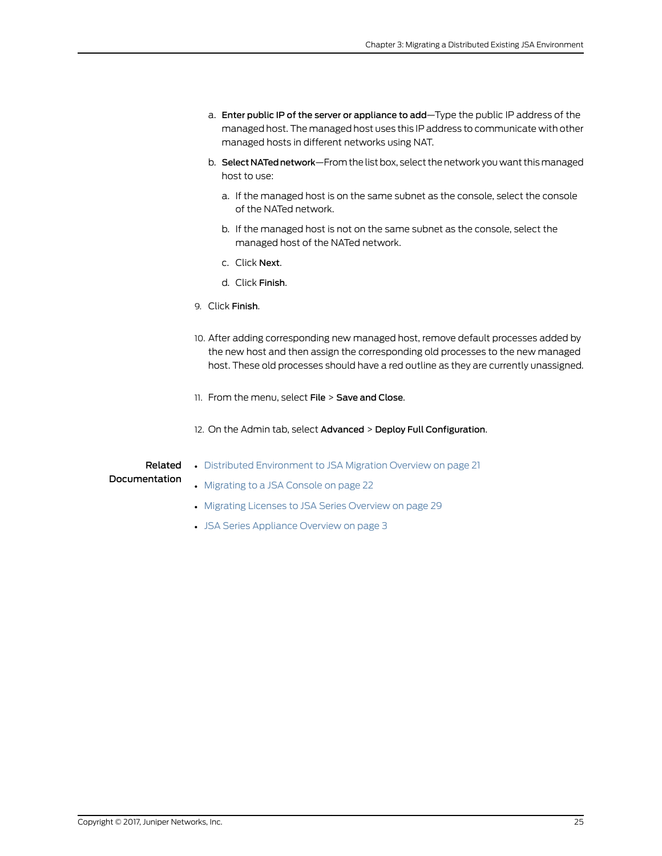- a. Enter public IP of the server or appliance to add—Type the public IP address of the managed host. The managed host uses this IP address to communicate with other managed hosts in different networks using NAT.
- b. Select NATed network—From the list box, select the network you want this managed host to use:
	- a. If the managed host is on the same subnet as the console, select the console of the NATed network.
	- b. If the managed host is not on the same subnet as the console, select the managed host of the NATed network.
	- c. Click Next.
	- d. Click Finish.
- <span id="page-34-0"></span>9. Click Finish.
- 10. After adding corresponding new managed host, remove default processes added by the new host and then assign the corresponding old processes to the new managed host. These old processes should have a red outline as they are currently unassigned.
- 11. From the menu, select File > Save and Close.
- 12. On the Admin tab, select Advanced > Deploy Full Configuration.

• Distributed [Environment](#page-30-1) to JSA Migration Overview on page 21

#### Related Documentation

- [Migrating](#page-31-0) to a JSA Console on page 22
- Migrating Licenses to JSA Series [Overview](#page-38-1) on page 29
- JSA Series [Appliance](#page-12-1) Overview on page 3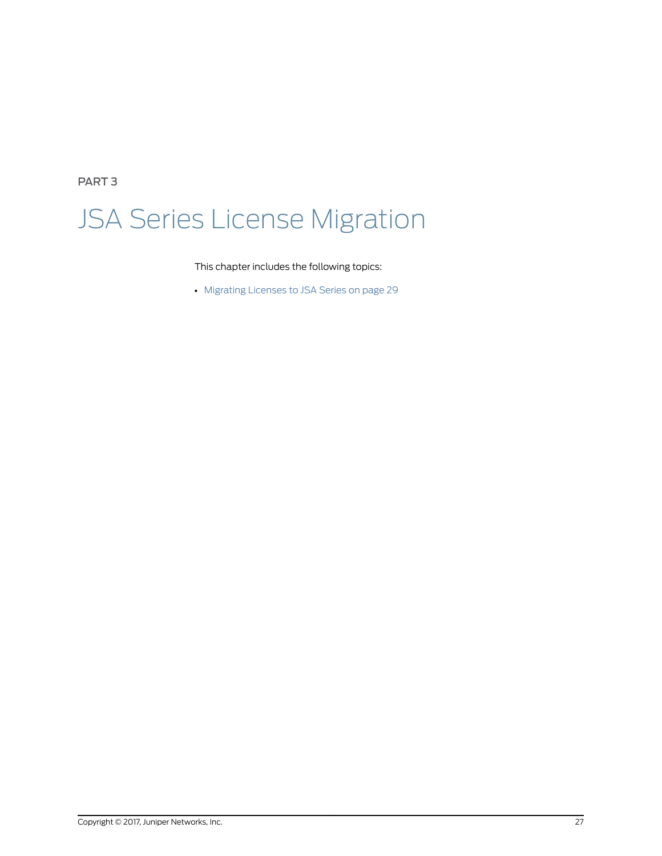<span id="page-36-0"></span>PART 3

# JSA Series License Migration

This chapter includes the following topics:

• [Migrating](#page-38-0) Licenses to JSA Series on [page](#page-38-0) 29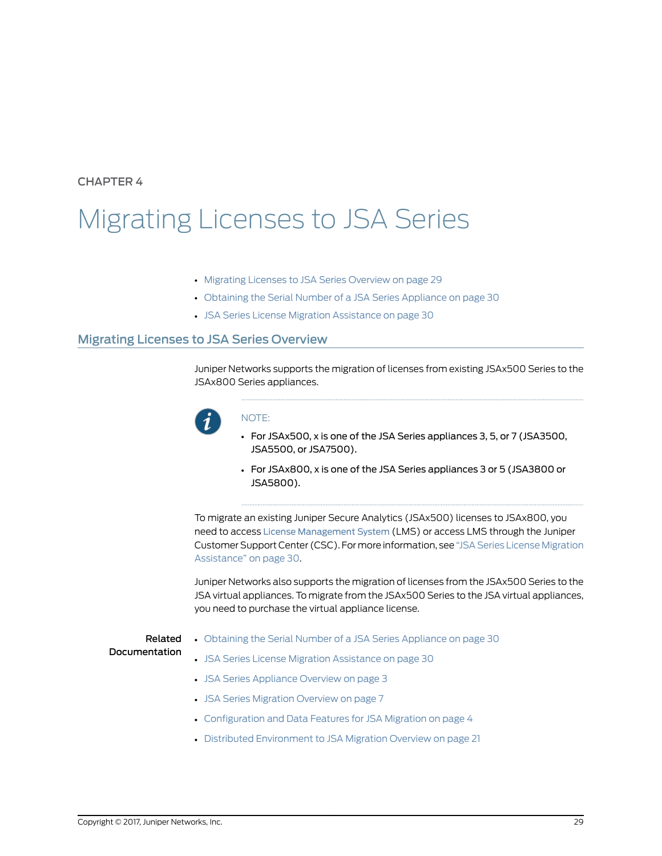### <span id="page-38-0"></span>CHAPTER 4

# Migrating Licenses to JSA Series

- Migrating Licenses to JSA Series [Overview](#page-38-1) on [page](#page-38-1) 29
- Obtaining the Serial Number of a JSA Series [Appliance](#page-39-0) on [page](#page-39-0) 30
- JSA Series License Migration [Assistance](#page-39-1) on [page](#page-39-1) 30

#### <span id="page-38-1"></span>Migrating Licenses to JSA Series Overview

Juniper Networks supports the migration of licenses from existing JSAx500 Series to the JSAx800 Series appliances.



#### NOTE:

- For JSAx500, x is one of the JSA Series appliances 3, 5, or 7 (JSA3500, JSA5500, or JSA7500).
- For JSAx800, x is one of the JSA Series appliances 3 or 5 (JSA3800 or JSA5800).

To migrate an existing Juniper Secure Analytics (JSAx500) licenses to JSAx800, you need to access License [Management](https://www.juniper.net/lcrs/license.do) System (LMS) or access LMS through the Juniper Customer Support Center (CSC). For more information, see "JSA Series License [Migration](#page-39-1) [Assistance"](#page-39-1) on page 30.

Juniper Networks also supports the migration of licenses from the JSAx500 Series to the JSA virtual appliances. To migrate from the JSAx500 Series to the JSA virtual appliances, you need to purchase the virtual appliance license.

#### Related Documentation

- Obtaining the Serial Number of a JSA Series [Appliance](#page-39-0) on page 30
- JSA Series License Migration [Assistance](#page-39-1) on page 30
- JSA Series [Appliance](#page-12-1) Overview on page 3
- JSA Series [Migration](#page-16-1) Overview on page 7
- [Configuration](#page-13-0) and Data Features for JSA Migration on page 4
- Distributed [Environment](#page-30-1) to JSA Migration Overview on page 21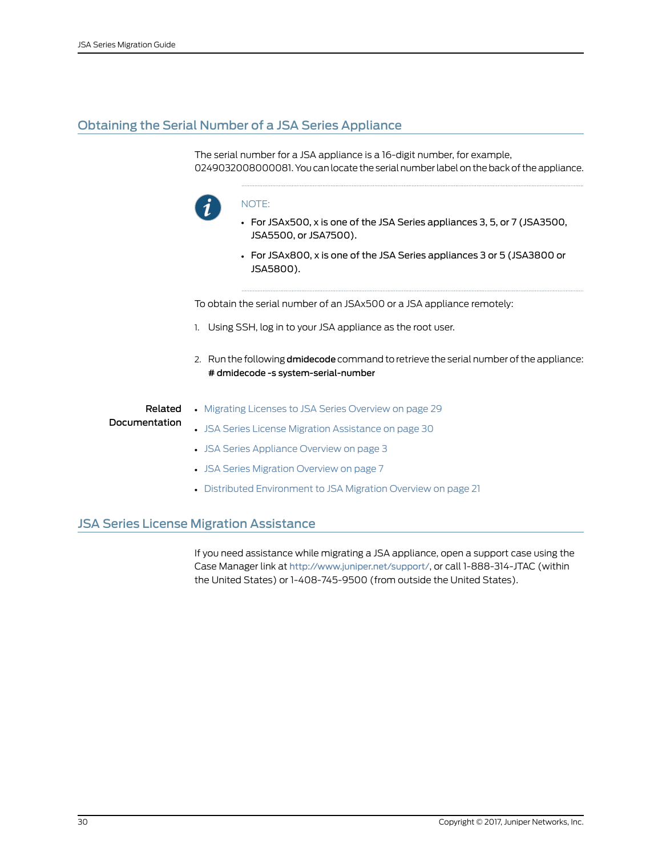# <span id="page-39-0"></span>Obtaining the Serial Number of a JSA Series Appliance

The serial number for a JSA appliance is a 16-digit number, for example, 0249032008000081. You can locate the serial number label on the back of the appliance.



#### NOTE:

- For JSAx500, x is one of the JSA Series appliances 3, 5, or 7 (JSA3500, JSA5500, or JSA7500).
- For JSAx800, x is one of the JSA Series appliances 3 or 5 (JSA3800 or JSA5800).

To obtain the serial number of an JSAx500 or a JSA appliance remotely:

- 1. Using SSH, log in to your JSA appliance as the root user.
- 2. Run the following dmidecode command to retrieve the serial number of the appliance: # dmidecode -s system-serial-number

# Related Documentation

- Migrating Licenses to JSA Series [Overview](#page-38-1) on page 29
- JSA Series License Migration [Assistance](#page-39-1) on page 30
	- JSA Series [Appliance](#page-12-1) Overview on page 3
	- JSA Series [Migration](#page-16-1) Overview on page 7
	- Distributed [Environment](#page-30-1) to JSA Migration Overview on page 21

#### <span id="page-39-1"></span>JSA Series License Migration Assistance

If you need assistance while migrating a JSA appliance, open a support case using the Case Manager link at <http://www.juniper.net/support/>, or call 1-888-314-JTAC (within the United States) or 1-408-745-9500 (from outside the United States).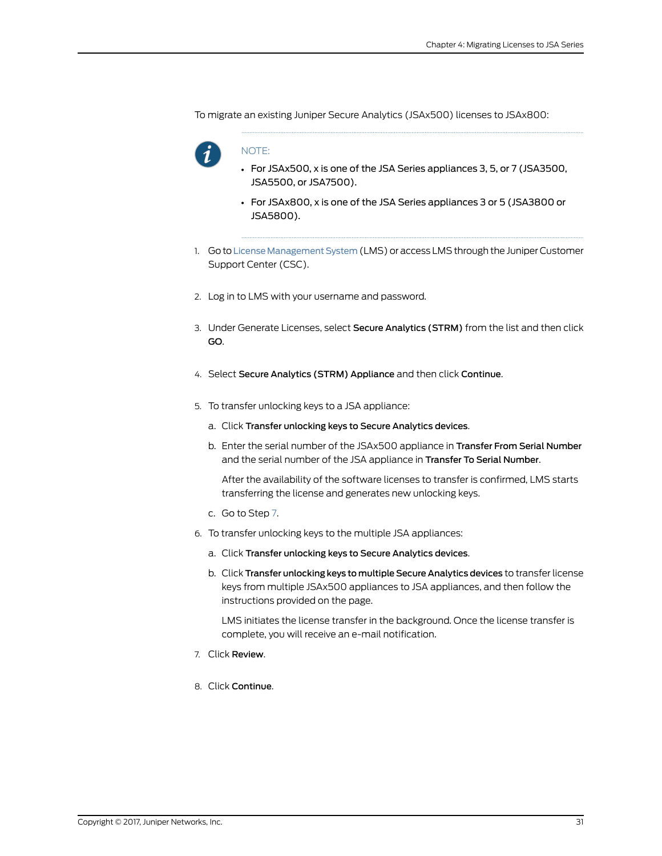To migrate an existing Juniper Secure Analytics (JSAx500) licenses to JSAx800:



#### NOTE:

- For JSAx500, x is one of the JSA Series appliances 3, 5, or 7 (JSA3500, JSA5500, or JSA7500).
- For JSAx800, x is one of the JSA Series appliances 3 or 5 (JSA3800 or JSA5800).
- 1. Go to License Management System (LMS) or access LMS through the Juniper Customer Support Center (CSC).
- 2. Log in to LMS with your username and password.
- 3. Under Generate Licenses, select Secure Analytics (STRM) from the list and then click GO.
- 4. Select Secure Analytics (STRM) Appliance and then click Continue.
- 5. To transfer unlocking keys to a JSA appliance:
	- a. Click Transfer unlocking keys to Secure Analytics devices.
	- b. Enter the serial number of the JSAx500 appliance in Transfer From Serial Number and the serial number of the JSA appliance in Transfer To Serial Number.

After the availability of the software licenses to transfer is confirmed, LMS starts transferring the license and generates new unlocking keys.

- c. Go to Step [7.](#page-40-0)
- 6. To transfer unlocking keys to the multiple JSA appliances:
	- a. Click Transfer unlocking keys to Secure Analytics devices.
	- b. Click Transfer unlocking keys to multiple Secure Analytics devices to transfer license keys from multiple JSAx500 appliances to JSA appliances, and then follow the instructions provided on the page.

<span id="page-40-0"></span>LMS initiates the license transfer in the background. Once the license transfer is complete, you will receive an e-mail notification.

- 7. Click Review.
- 8. Click Continue.